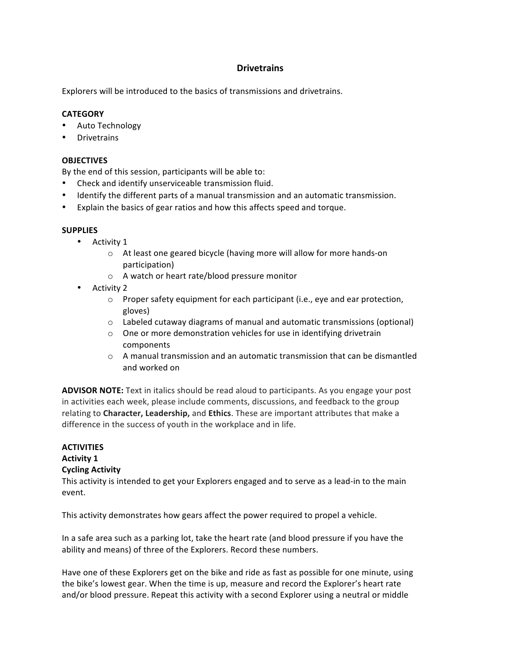# **Drivetrains**

Explorers will be introduced to the basics of transmissions and drivetrains.

### **CATEGORY**

- Auto Technology
- Drivetrains

#### **OBJECTIVES**

By the end of this session, participants will be able to:

- Check and identify unserviceable transmission fluid.
- Identify the different parts of a manual transmission and an automatic transmission.
- Explain the basics of gear ratios and how this affects speed and torque.

#### **SUPPLIES**

- Activity 1
	- o At least one geared bicycle (having more will allow for more hands-on participation)
	- $\circ$  A watch or heart rate/blood pressure monitor
- Activity 2
	- $\circ$  Proper safety equipment for each participant (i.e., eye and ear protection, gloves)
	- $\circ$  Labeled cutaway diagrams of manual and automatic transmissions (optional)
	- $\circ$  One or more demonstration vehicles for use in identifying drivetrain components
	- $\circ$  A manual transmission and an automatic transmission that can be dismantled and worked on

**ADVISOR NOTE:** Text in italics should be read aloud to participants. As you engage your post in activities each week, please include comments, discussions, and feedback to the group relating to **Character, Leadership,** and **Ethics**. These are important attributes that make a difference in the success of youth in the workplace and in life.

#### **ACTIVITIES Activity 1**

### **Cycling Activity**

This activity is intended to get your Explorers engaged and to serve as a lead-in to the main event.

This activity demonstrates how gears affect the power required to propel a vehicle.

In a safe area such as a parking lot, take the heart rate (and blood pressure if you have the ability and means) of three of the Explorers. Record these numbers.

Have one of these Explorers get on the bike and ride as fast as possible for one minute, using the bike's lowest gear. When the time is up, measure and record the Explorer's heart rate and/or blood pressure. Repeat this activity with a second Explorer using a neutral or middle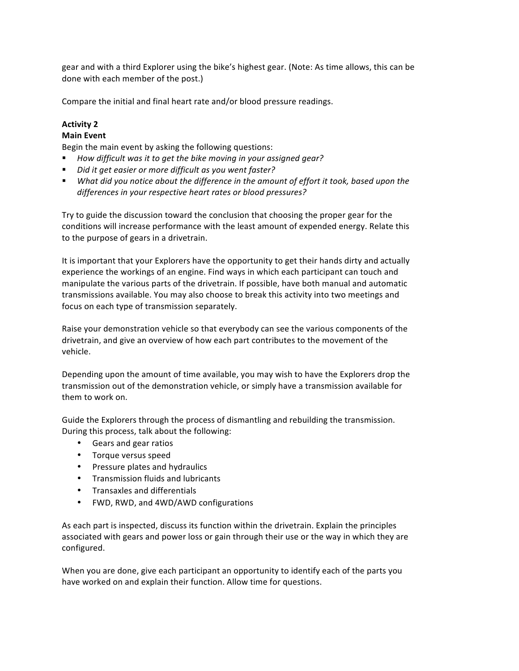gear and with a third Explorer using the bike's highest gear. (Note: As time allows, this can be done with each member of the post.)

Compare the initial and final heart rate and/or blood pressure readings.

## **Activity 2**

# **Main Event**

Begin the main event by asking the following questions:

- How difficult was it to get the bike moving in your assigned gear?
- *Did it get easier or more difficult as you went faster?*
- **■** What did you notice about the difference in the amount of effort it took, based upon the *differences in your respective heart rates or blood pressures?*

Try to guide the discussion toward the conclusion that choosing the proper gear for the conditions will increase performance with the least amount of expended energy. Relate this to the purpose of gears in a drivetrain.

It is important that your Explorers have the opportunity to get their hands dirty and actually experience the workings of an engine. Find ways in which each participant can touch and manipulate the various parts of the drivetrain. If possible, have both manual and automatic transmissions available. You may also choose to break this activity into two meetings and focus on each type of transmission separately.

Raise your demonstration vehicle so that everybody can see the various components of the drivetrain, and give an overview of how each part contributes to the movement of the vehicle.

Depending upon the amount of time available, you may wish to have the Explorers drop the transmission out of the demonstration vehicle, or simply have a transmission available for them to work on.

Guide the Explorers through the process of dismantling and rebuilding the transmission. During this process, talk about the following:

- Gears and gear ratios
- Torque versus speed
- Pressure plates and hydraulics
- Transmission fluids and lubricants
- Transaxles and differentials
- FWD, RWD, and 4WD/AWD configurations

As each part is inspected, discuss its function within the drivetrain. Explain the principles associated with gears and power loss or gain through their use or the way in which they are configured.

When you are done, give each participant an opportunity to identify each of the parts you have worked on and explain their function. Allow time for questions.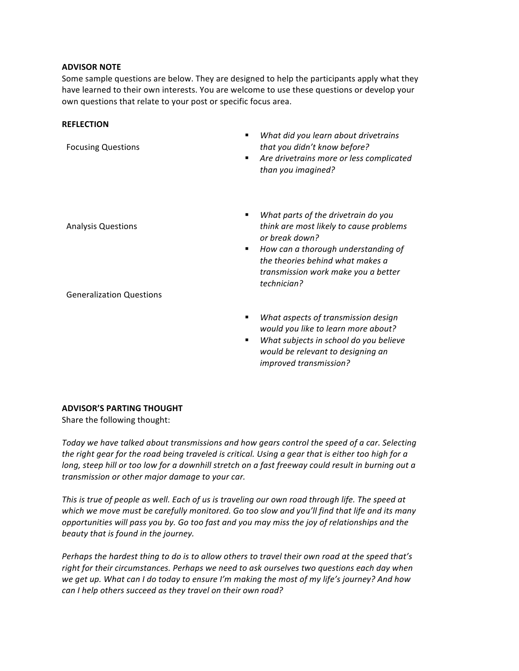#### **ADVISOR NOTE**

Some sample questions are below. They are designed to help the participants apply what they have learned to their own interests. You are welcome to use these questions or develop your own questions that relate to your post or specific focus area.

#### **REFLECTION**

- Focusing Questions Analysis Questions Generalization Questions § *What did you learn about drivetrains that you didn't know before?* **EXP** Are drivetrains more or less complicated *than you imagined?* ■ *What parts of the drivetrain do you think are most likely to cause problems or break down?* ■ How can a thorough understanding of the theories behind what makes a *transmission work make you a better technician?*
	- *What aspects of transmission design would you like to learn more about?*
	- *What subjects in school do you believe would be relevant to designing an improved transmission?*

### **ADVISOR'S PARTING THOUGHT**

Share the following thought:

Today we have talked about transmissions and how gears control the speed of a car. Selecting *the right gear for the road being traveled is critical. Using a gear that is either too high for a long,* steep hill or too low for a downhill stretch on a fast freeway could result in burning out a *transmission or other major damage to your car.*

This is true of people as well. Each of us is traveling our own road through life. The speed at which we move must be carefully monitored. Go too slow and you'll find that life and its many *opportunities* will pass you by. Go too fast and you may miss the joy of relationships and the *beauty that is found in the journey.*

*Perhaps* the hardest thing to do is to allow others to travel their own road at the speed that's right for their circumstances. Perhaps we need to ask ourselves two questions each day when we get up. What can I do today to ensure I'm making the most of my life's journey? And how *can* I help others succeed as they travel on their own road?